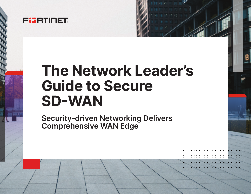

# **The Network Leader's Guide to Secure SD-WAN**

**Security-driven Networking Delivers Comprehensive WAN Edge**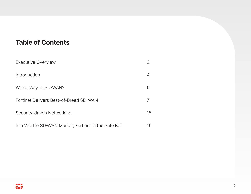## **Table of Contents**

| Executive Overview                                    |    |
|-------------------------------------------------------|----|
| Introduction                                          |    |
| Which Way to SD-WAN?                                  | 6  |
| Fortinet Delivers Best-of-Breed SD-WAN                |    |
| Security-driven Networking                            | 15 |
| In a Volatile SD-WAN Market, Fortinet Is the Safe Bet | 16 |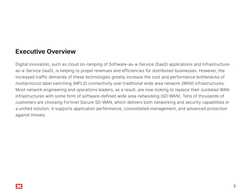## **Executive Overview**

Digital innovation, such as cloud on-ramping of Software-as-a-Service (SaaS) applications and Infrastructureas-a-Service (IaaS), is helping to propel revenues and efficiencies for distributed businesses. However, the increased traffic demands of these technologies greatly increase the cost and performance bottlenecks of multiprotocol label switching (MPLS) connectivity over traditional wide area network (WAN) infrastructures. Most network engineering and operations leaders, as a result, are now looking to replace their outdated WAN infrastructures with some form of software-defined wide area networking (SD-WAN). Tens of thousands of customers are choosing Fortinet Secure SD-WAN, which delivers both networking and security capabilities in a unified solution. It supports application performance, consolidated management, and advanced protection against threats.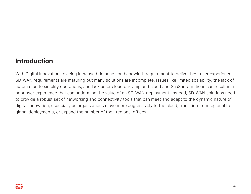### **Introduction**

With Digital Innovations placing increased demands on bandwidth requirement to deliver best user experience, SD-WAN requirements are maturing but many solutions are incomplete. Issues like limited scalability, the lack of automation to simplify operations, and lackluster cloud on-ramp and cloud and SaaS integrations can result in a poor user experience that can undermine the value of an SD-WAN deployment. Instead, SD-WAN solutions need to provide a robust set of networking and connectivity tools that can meet and adapt to the dynamic nature of digital innovation, especially as organizations move more aggressively to the cloud, transition from regional to global deployments, or expand the number of their regional offices.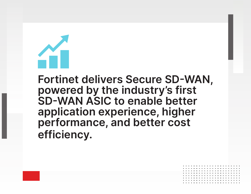

**Fortinet delivers Secure SD-WAN, powered by the industry's first SD-WAN ASIC to enable better application experience, higher performance, and better cost efficiency.**

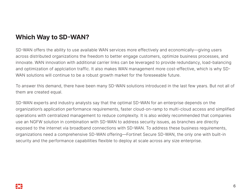## **Which Way to SD-WAN?**

SD-WAN offers the ability to use available WAN services more effectively and economically—giving users across distributed organizations the freedom to better engage customers, optimize business processes, and innovate. WAN innovation with additional carrier links can be leveraged to provide redundancy, load-balancing and optimization of applciation traffic. It also makes WAN management more cost-effective, which is why SD-WAN solutions will continue to be a robust growth market for the foreseeable future.

To answer this demand, there have been many SD-WAN solutions introduced in the last few years. But not all of them are created equal.

SD-WAN experts and industry analysts say that the optimal SD-WAN for an enterprise depends on the organization's application performance requirements, faster cloud-on-ramp to multi-cloud access and simplified operations with centralized management to reduce complexity. It is also widely recommended that companies use an NGFW solution in combination with SD-WAN to address security issues, as branches are directly exposed to the internet via broadband connections with SD-WAN. To address these business requirements, organizations need a comprehensive SD-WAN offering—Fortinet Secure SD-WAN, the only one with built-in security and the performance capabilities flexible to deploy at scale across any size enterprise.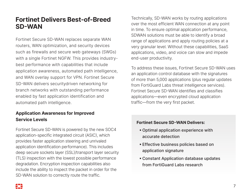## **Fortinet Delivers Best-of-Breed SD-WAN**

Fortinet Secure SD-WAN replaces separate WAN routers, WAN optimization, and security devices such as firewalls and secure web gateways (SWGs) with a single Fortinet NGFW. This provides industrybest performance with capabilities that include application awareness, automated path intelligence, and WAN overlay support for VPN. Fortinet Secure SD-WAN delivers securitydriven networking for branch networks with outstanding performance enabled by fast application identification and automated path intelligence.

### **Application Awareness for Improved Service Levels**

Fortinet Secure SD-WAN is powered by the new SOC4 application-specific integrated circuit (ASIC), which provides faster application steering and unrivaled application identification performance). This includes deep secure sockets layer (SSL)/transport layer security (TLS) inspection with the lowest possible performance degradation. Encryption inspection capabilities also include the ability to inspect the packet in order for the SD-WAN solution to correctly route the traffic.

Technically, SD-WAN works by routing applications over the most efficient WAN connection at any point in time. To ensure optimal application performance, SDWAN solutions must be able to identify a broad range of applications and apply routing policies at a very granular level. Without these capabilities, SaaS applications, video, and voice can slow and impede end-user productivity.

To address these issues, Fortinet Secure SD-WAN uses an application control database with the signatures of more than 5,000 applications (plus regular updates from FortiGuard Labs threat intelligence services). Fortinet Secure SD-WAN identifies and classifies applications—even encrypted cloud application traffic—from the very first packet.

#### **Fortinet Secure SD-WAN Delivers:**

- Optimal application experience with accurate detection
- **Effective business policies based on** application signature
- **Constant Application database updates** from FortiGuard Labs research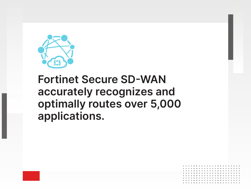

## **Fortinet Secure SD-WAN accurately recognizes and optimally routes over 5,000 applications.**

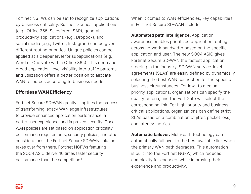Fortinet NGFWs can be set to recognize applications by business criticality. Business-critical applications (e.g., Office 365, Salesforce, SAP), general productivity applications (e.g., Dropbox), and social media (e.g., Twitter, Instagram) can be given different routing priorities. Unique policies can be applied at a deeper level for subapplications (e.g., Word or OneNote within Office 365). This deep and broad application-level visibility into traffic patterns and utilization offers a better position to allocate WAN resources according to business needs.

### **Effortless WAN Efficiency**

Fortinet Secure SD-WAN greatly simplifies the process of transforming legacy WAN edge infrastructures to provide enhanced application performance, a better user experience, and improved security. Once WAN policies are set based on application criticality, performance requirements, security policies, and other considerations, the Fortinet Secure SD-WAN solution takes over from there. Fortinet NGFWs featuring the SOC4 ASIC deliver 10 times faster security performance than the competition.<sup>1</sup>

When it comes to WAN efficiencies, key capabilities in Fortinet Secure SD-WAN include:

**Automated path intelligence.** Application awareness enables prioritized application routing across network bandwidth based on the specific application and user. The new SOC4 ASIC gives Fortinet Secure SD-WAN the fastest application steering in the industry. SD-WAN service-level agreements (SLAs) are easily defined by dynamically selecting the best WAN connection for the specific business circumstances. For low- to mediumpriority applications, organizations can specify the quality criteria, and the FortiGate will select the corresponding link. For high-priority and businesscritical applications, organizations can define strict SLAs based on a combination of jitter, packet loss, and latency metrics.

**Automatic failover.** Multi-path technology can automatically fail over to the best available link when the primary WAN path degrades. This automation is built into the Fortinet NGFW, which reduces complexity for endusers while improving their experience and productivity.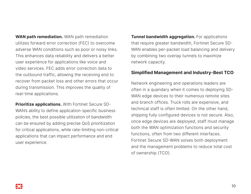**WAN path remediation.** WAN path remediation utilizes forward error correction (FEC) to overcome adverse WAN conditions such as poor or noisy links. This enhances data reliability and delivers a better user experience for applications like voice and video services. FEC adds error correction data to the outbound traffic, allowing the receiving end to recover from packet loss and other errors that occur during transmission. This improves the quality of real-time applications.

**Prioritize applications.** With Fortinet Secure SD-WAN's ability to define application-specific business policies, the best possible utilization of bandwidth can be ensured by adding precise QoS prioritization for critical applications, while rate-limiting non-critical applications that can impact performance and end user experience.

**Tunnel bandwidth aggregation.** For applications that require greater bandwidth, Fortinet Secure SD-WAN enables per-packet load balancing and delivery by combining two overlay tunnels to maximize network capacity.

#### **Simplified Management and Industry-Best TCO**

Network engineering and operations leaders are often in a quandary when it comes to deploying SD-WAN edge devices to their numerous remote sites and branch offices. Truck rolls are expensive, and technical staff is often limited. On the other hand, shipping fully configured devices is not secure. Also, once edge devices are deployed, staff must manage both the WAN optimization functions and security functions, often from two different interfaces. Fortinet Secure SD-WAN solves both deployment and the management problems to reduce total cost of ownership (TCO).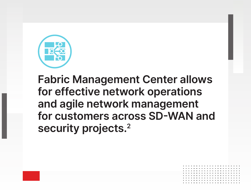

**Fabric Management Center allows for effective network operations and agile network management for customers across SD-WAN and security projects.2**

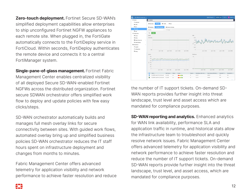**Zero-touch deployment.** Fortinet Secure SD-WAN's simplified deployment capabilities allow enterprises to ship unconfigured Fortinet NGFW appliances to each remote site. When plugged in, the FortiGate automatically connects to the FortiDeploy service in FortiCloud. Within seconds, FortiDeploy authenticates the remote device and connects it to a central FortiManager system.

**Single-pane-of-glass management.** Fortinet Fabric Management Center enables centralized visibility of all deployed Secure SD-WAN-enabled Fortinet NGFWs across the distributed organization. Fortinet secure SDWAN orchestrator offers simplified work flow to deploy and update policies with few easy clicks/steps.

SD-WAN orchestrator automatically builds and manages full mesh overlay links for secure connectivity between sites. With guided work flows, automated overlay bring up and simplified business policies SD-WAN orchestrator reduces the IT staff hours spent on infrastructure deployment and changes from months to minutes.

Fabric Management Center offers advanced telemetry for application visibility and network performance to achieve faster resolution and reduce



the number of IT support tickets. On-demand SD-WAN reports provides further insight into threat landscape, trust level and asset access which are mandated for compliance purposes.

**SD-WAN reporting and analytics.** Enhanced analytics for WAN link availability, performance SLA and application traffic in runtime, and historical stats allow the infrastructure team to troubleshoot and quickly resolve network issues. Fabric Management Center offers advanced telemetry for application visibility and network performance to achieve faster resolution and reduce the number of IT support tickets. On-demand SD-WAN reports provide further insight into the threat landscape, trust level, and asset access, which are mandated for compliance purposes.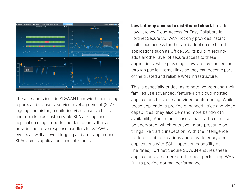

These features include SD-WAN bandwidth monitoring reports and datasets; service-level agreement (SLA) logging and history monitoring via datasets, charts, and reports plus customizable SLA alerting; and application usage reports and dashboards. It also provides adaptive response handlers for SD-WAN events as well as event logging and archiving around SLAs across applications and interfaces.

**Low Latency access to distributed cloud.** Provide Low Latency Cloud Access for Easy Collaboration Fortinet Secure SD-WAN not only provides instant multicloud access for the rapid adoption of shared applications such as Office365. Its built-in security adds another layer of secure access to these applications, while providing a low latency connection through public internet links so they can become part of the trusted and reliable WAN infrastructure.

This is especially critical as remote workers and their families use advanced, feature-rich cloud-hosted applications for voice and video conferencing. While these applications provide enhanced voice and video capabilities, they also demand more bandwidth availability. And in most cases, that traffic can also be encrypted, which puts even more pressure on things like traffic inspection. With the intelligence to detect subapplications and provide encrypted applications with SSL inspection capability at line rates, Fortinet Secure SDWAN ensures these applications are steered to the best performing WAN link to provide optimal performance.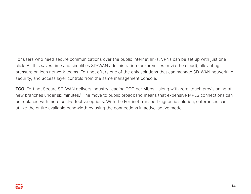For users who need secure communications over the public internet links, VPNs can be set up with just one click. All this saves time and simplifies SD-WAN administration (on-premises or via the cloud), alleviating pressure on lean network teams. Fortinet offers one of the only solutions that can manage SD-WAN networking, security, and access layer controls from the same management console.

**TCO.** Fortinet Secure SD-WAN delivers industry-leading TCO per Mbps—along with zero-touch provisioning of new branches under six minutes.<sup>3</sup> The move to public broadband means that expensive MPLS connections can be replaced with more cost-effective options. With the Fortinet transport-agnostic solution, enterprises can utilize the entire available bandwidth by using the connections in active-active mode.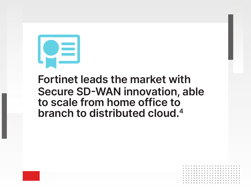

## **Fortinet leads the market with Secure SD-WAN innovation, able to scale from home office to branch to distributed cloud.4**

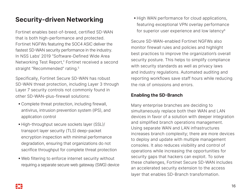## **Security-driven Networking**

Fortinet enables best-of-breed, certified SD-WAN that is both high-performance and protected. Fortinet NGFWs featuring the SOC4 ASIC deliver the fastest SD-WAN security performance in the industry. In NSS Labs' 2019 "Software-Defined Wide Area Networking Test Report," Fortinet received a second straight "Recommended" rating.<sup>5</sup>

Specifically, Fortinet Secure SD-WAN has robust SD-WAN threat protection, including Layer 3 through Layer 7 security controls not commonly found in other SD-WAN-plus-firewall solutions:

- Complete threat protection, including firewall, antivirus, intrusion prevention system (IPS), and application control
- High-throughput secure sockets layer (SSL)/ transport layer security (TLS) deep-packet encryption inspection with minimal performance degradation, ensuring that organizations do not sacrifice throughput for complete threat protection
- Web filtering to enforce internet security without requiring a separate secure web gateway (SWG) device

■ High WAN performance for cloud applications, featuring exceptional VPN overlay performance for superior user experience and low latency<sup>6</sup>

Secure SD-WAN-enabled Fortinet NGFWs also monitor firewall rules and policies and highlight best practices to improve the organization's overall security posture. This helps to simplify compliance with security standards as well as privacy laws and industry regulations. Automated auditing and reporting workflows save staff hours while reducing the risk of omissions and errors.

### **Enabling the SD-Branch**

Many enterprise branches are deciding to simultaneously replace both their WAN and LAN devices in favor of a solution with deeper integration and simplified branch operations management. Using separate WAN and LAN infrastructures increases branch complexity; there are more devices to deploy and update with multiple management consoles. It also reduces visibility and control of operations while increasing the opportunities for security gaps that hackers can exploit. To solve these challenges, Fortinet Secure SD-WAN includes an accelerated security extension to the access layer that enables SD-Branch transformation.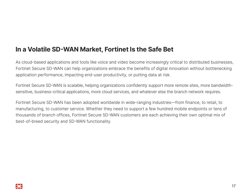## **In a Volatile SD-WAN Market, Fortinet Is the Safe Bet**

As cloud-based applications and tools like voice and video become increasingly critical to distributed businesses, Fortinet Secure SD-WAN can help organizations embrace the benefits of digital innovation without bottlenecking application performance, impacting end-user productivity, or putting data at risk.

Fortinet Secure SD-WAN is scalable, helping organizations confidently support more remote sites, more bandwidthsensitive, business-critical applications, more cloud services, and whatever else the branch network requires.

Fortinet Secure SD-WAN has been adopted worldwide in wide-ranging industries—from finance, to retail, to manufacturing, to customer service. Whether they need to support a few hundred mobile endpoints or tens of thousands of branch offices, Fortinet Secure SD-WAN customers are each achieving their own optimal mix of best-of-breed security and SD-WAN functionality.